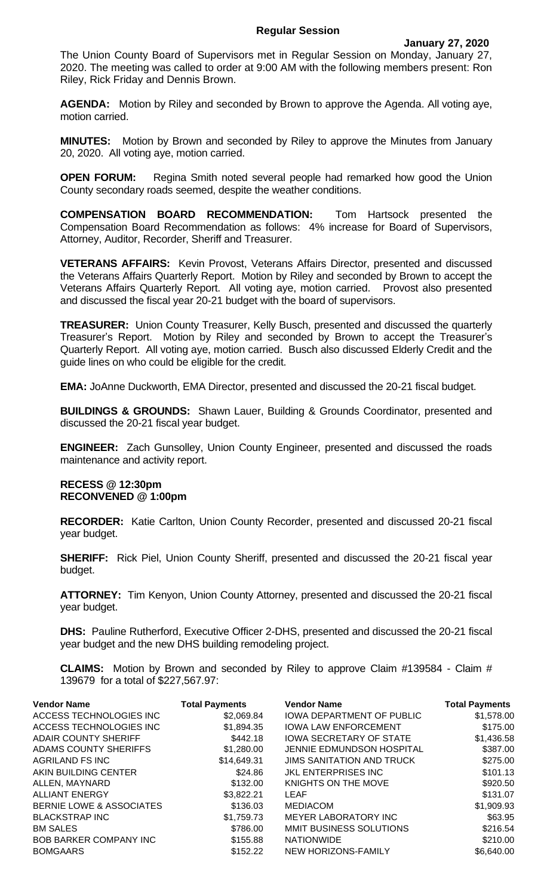## **Regular Session**

The Union County Board of Supervisors met in Regular Session on Monday, January 27, 2020. The meeting was called to order at 9:00 AM with the following members present: Ron Riley, Rick Friday and Dennis Brown.

**AGENDA:** Motion by Riley and seconded by Brown to approve the Agenda. All voting aye, motion carried.

**MINUTES:** Motion by Brown and seconded by Riley to approve the Minutes from January 20, 2020. All voting aye, motion carried.

**OPEN FORUM:** Regina Smith noted several people had remarked how good the Union County secondary roads seemed, despite the weather conditions.

**COMPENSATION BOARD RECOMMENDATION:** Tom Hartsock presented the Compensation Board Recommendation as follows: 4% increase for Board of Supervisors, Attorney, Auditor, Recorder, Sheriff and Treasurer.

**VETERANS AFFAIRS:** Kevin Provost, Veterans Affairs Director, presented and discussed the Veterans Affairs Quarterly Report. Motion by Riley and seconded by Brown to accept the Veterans Affairs Quarterly Report. All voting aye, motion carried. Provost also presented and discussed the fiscal year 20-21 budget with the board of supervisors.

**TREASURER:** Union County Treasurer, Kelly Busch, presented and discussed the quarterly Treasurer's Report. Motion by Riley and seconded by Brown to accept the Treasurer's Quarterly Report. All voting aye, motion carried. Busch also discussed Elderly Credit and the guide lines on who could be eligible for the credit.

**EMA:** JoAnne Duckworth, EMA Director, presented and discussed the 20-21 fiscal budget.

**BUILDINGS & GROUNDS:** Shawn Lauer, Building & Grounds Coordinator, presented and discussed the 20-21 fiscal year budget.

**ENGINEER:** Zach Gunsolley, Union County Engineer, presented and discussed the roads maintenance and activity report.

## **RECESS @ 12:30pm RECONVENED @ 1:00pm**

**RECORDER:** Katie Carlton, Union County Recorder, presented and discussed 20-21 fiscal year budget.

**SHERIFF:** Rick Piel, Union County Sheriff, presented and discussed the 20-21 fiscal year budget.

**ATTORNEY:** Tim Kenyon, Union County Attorney, presented and discussed the 20-21 fiscal year budget.

**DHS:** Pauline Rutherford, Executive Officer 2-DHS, presented and discussed the 20-21 fiscal year budget and the new DHS building remodeling project.

**CLAIMS:** Motion by Brown and seconded by Riley to approve Claim #139584 - Claim # 139679 for a total of \$227,567.97:

| <b>Vendor Name</b>            | <b>Total Payments</b> | <b>Vendor Name</b>               | <b>Total Payments</b> |
|-------------------------------|-----------------------|----------------------------------|-----------------------|
| ACCESS TECHNOLOGIES INC       | \$2,069.84            | <b>IOWA DEPARTMENT OF PUBLIC</b> | \$1,578.00            |
| ACCESS TECHNOLOGIES INC       | \$1,894.35            | <b>IOWA LAW ENFORCEMENT</b>      | \$175.00              |
| <b>ADAIR COUNTY SHERIFF</b>   | \$442.18              | <b>IOWA SECRETARY OF STATE</b>   | \$1,436.58            |
| ADAMS COUNTY SHERIFFS         | \$1,280.00            | JENNIE EDMUNDSON HOSPITAL        | \$387.00              |
| <b>AGRILAND FS INC</b>        | \$14,649.31           | <b>JIMS SANITATION AND TRUCK</b> | \$275.00              |
| AKIN BUILDING CENTER          | \$24.86               | <b>JKL ENTERPRISES INC</b>       | \$101.13              |
| ALLEN, MAYNARD                | \$132.00              | KNIGHTS ON THE MOVE              | \$920.50              |
| <b>ALLIANT ENERGY</b>         | \$3,822.21            | LEAF                             | \$131.07              |
| BERNIE LOWE & ASSOCIATES      | \$136.03              | <b>MEDIACOM</b>                  | \$1,909.93            |
| <b>BLACKSTRAP INC</b>         | \$1,759.73            | <b>MEYER LABORATORY INC</b>      | \$63.95               |
| <b>BM SALES</b>               | \$786.00              | MMIT BUSINESS SOLUTIONS          | \$216.54              |
| <b>BOB BARKER COMPANY INC</b> | \$155.88              | <b>NATIONWIDE</b>                | \$210.00              |
| <b>BOMGAARS</b>               | \$152.22              | NEW HORIZONS-FAMILY              | \$6,640.00            |